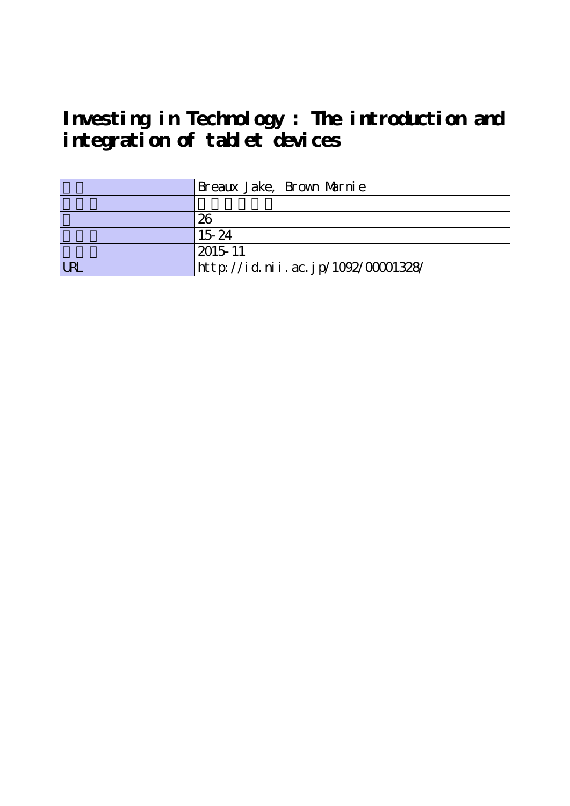**Investing in Technology : The introduction and integration of tablet devices**

|            | Breaux Jake, Brown Marnie          |
|------------|------------------------------------|
|            |                                    |
|            | 26                                 |
|            | 1524                               |
|            | 2015-11                            |
| <b>LRI</b> | http://id.nii.ac.jp/1092/00001328/ |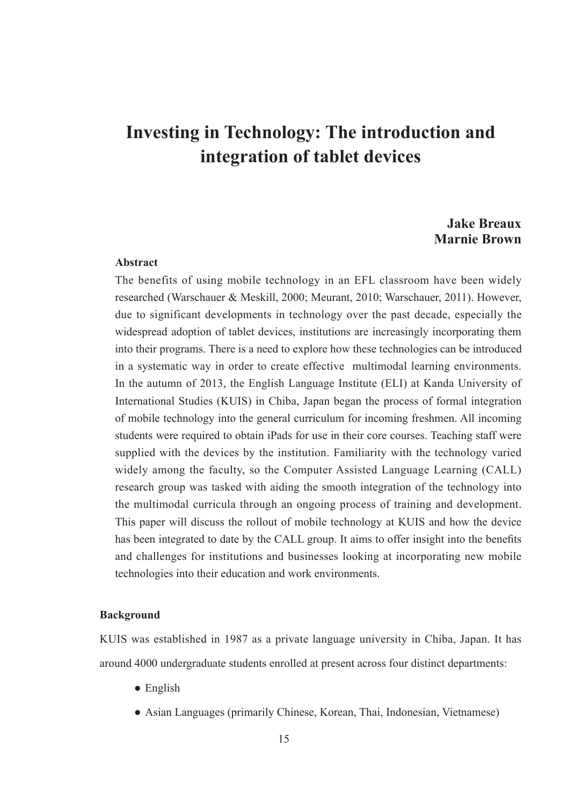# **Investing in Technology: The introduction and integration of tablet devices**

## **Jake Breaux Marnie Brown**

### **Abstract**

The benefits of using mobile technology in an EFL classroom have been widely researched (Warschauer & Meskill, 2000; Meurant, 2010; Warschauer, 2011). However, due to significant developments in technology over the past decade, especially the widespread adoption of tablet devices, institutions are increasingly incorporating them into their programs. There is a need to explore how these technologies can be introduced in a systematic way in order to create effective multimodal learning environments. In the autumn of 2013, the English Language Institute (ELI) at Kanda University of International Studies (KUIS) in Chiba, Japan began the process of formal integration of mobile technology into the general curriculum for incoming freshmen. All incoming students were required to obtain iPads for use in their core courses. Teaching staff were supplied with the devices by the institution. Familiarity with the technology varied widely among the faculty, so the Computer Assisted Language Learning (CALL) research group was tasked with aiding the smooth integration of the technology into the multimodal curricula through an ongoing process of training and development. This paper will discuss the rollout of mobile technology at KUIS and how the device has been integrated to date by the CALL group. It aims to offer insight into the benefits and challenges for institutions and businesses looking at incorporating new mobile technologies into their education and work environments.

#### **Background**

KUIS was established in 1987 as a private language university in Chiba, Japan. It has around 4000 undergraduate students enrolled at present across four distinct departments:

- English
- Asian Languages (primarily Chinese, Korean, Thai, Indonesian, Vietnamese)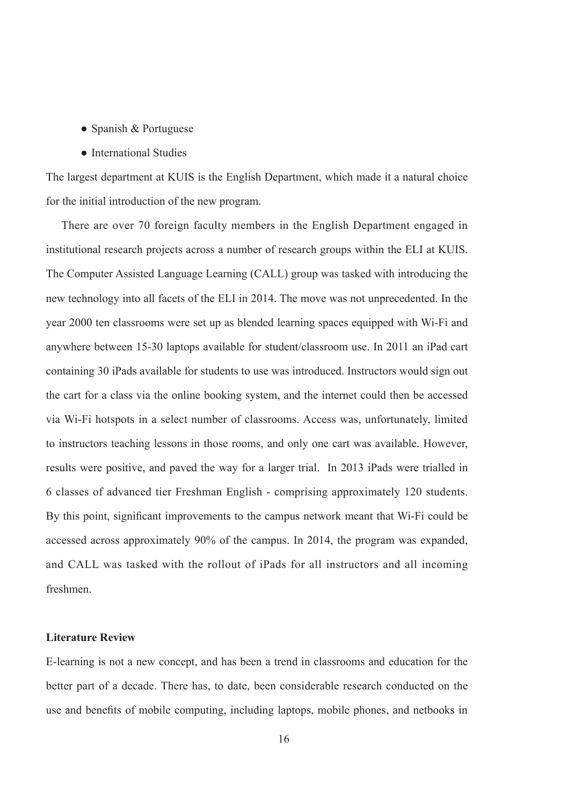- Spanish & Portuguese
- International Studies

The largest department at KUIS is the English Department, which made it a natural choice for the initial introduction of the new program.

There are over 70 foreign faculty members in the English Department engaged in institutional research projects across a number of research groups within the ELI at KUIS. The Computer Assisted Language Learning (CALL) group was tasked with introducing the new technology into all facets of the ELI in 2014. The move was not unprecedented. In the year 2000 ten classrooms were set up as blended learning spaces equipped with Wi-Fi and anywhere between 15-30 laptops available for student/classroom use. In 2011 an iPad cart containing 30 iPads available for students to use was introduced. Instructors would sign out the cart for a class via the online booking system, and the internet could then be accessed via Wi-Fi hotspots in a select number of classrooms. Access was, unfortunately, limited to instructors teaching lessons in those rooms, and only one cart was available. However, results were positive, and paved the way for a larger trial. In 2013 iPads were trialled in 6 classes of advanced tier Freshman English - comprising approximately 120 students. By this point, significant improvements to the campus network meant that Wi-Fi could be accessed across approximately 90% of the campus. In 2014, the program was expanded, and CALL was tasked with the rollout of iPads for all instructors and all incoming freshmen.

#### **Literature Review**

E-learning is not a new concept, and has been a trend in classrooms and education for the better part of a decade. There has, to date, been considerable research conducted on the use and benefits of mobile computing, including laptops, mobile phones, and netbooks in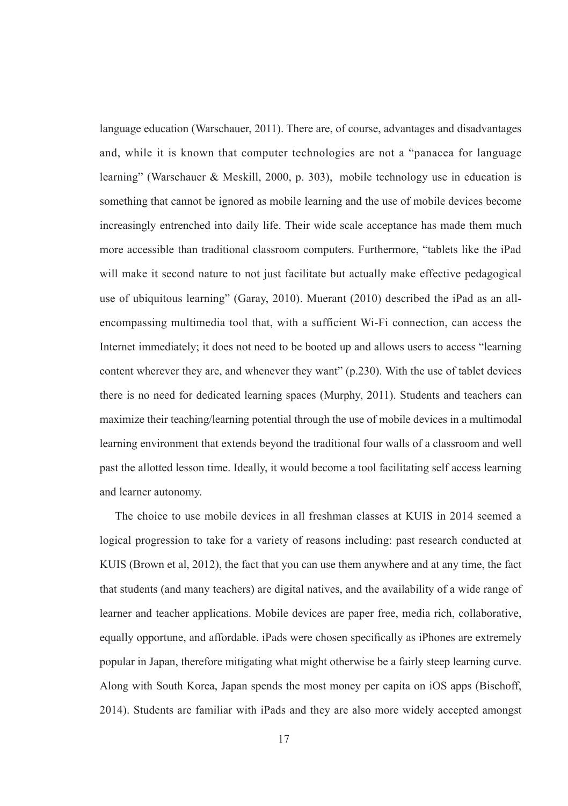language education (Warschauer, 2011). There are, of course, advantages and disadvantages and, while it is known that computer technologies are not a "panacea for language learning" (Warschauer & Meskill, 2000, p. 303), mobile technology use in education is something that cannot be ignored as mobile learning and the use of mobile devices become increasingly entrenched into daily life. Their wide scale acceptance has made them much more accessible than traditional classroom computers. Furthermore, "tablets like the iPad will make it second nature to not just facilitate but actually make effective pedagogical use of ubiquitous learning" (Garay, 2010). Muerant (2010) described the iPad as an allencompassing multimedia tool that, with a sufficient Wi-Fi connection, can access the Internet immediately; it does not need to be booted up and allows users to access "learning content wherever they are, and whenever they want" (p.230). With the use of tablet devices there is no need for dedicated learning spaces (Murphy, 2011). Students and teachers can maximize their teaching/learning potential through the use of mobile devices in a multimodal learning environment that extends beyond the traditional four walls of a classroom and well past the allotted lesson time. Ideally, it would become a tool facilitating self access learning and learner autonomy.

The choice to use mobile devices in all freshman classes at KUIS in 2014 seemed a logical progression to take for a variety of reasons including: past research conducted at KUIS (Brown et al, 2012), the fact that you can use them anywhere and at any time, the fact that students (and many teachers) are digital natives, and the availability of a wide range of learner and teacher applications. Mobile devices are paper free, media rich, collaborative, equally opportune, and affordable. iPads were chosen specifically as iPhones are extremely popular in Japan, therefore mitigating what might otherwise be a fairly steep learning curve. Along with South Korea, Japan spends the most money per capita on iOS apps (Bischoff, 2014). Students are familiar with iPads and they are also more widely accepted amongst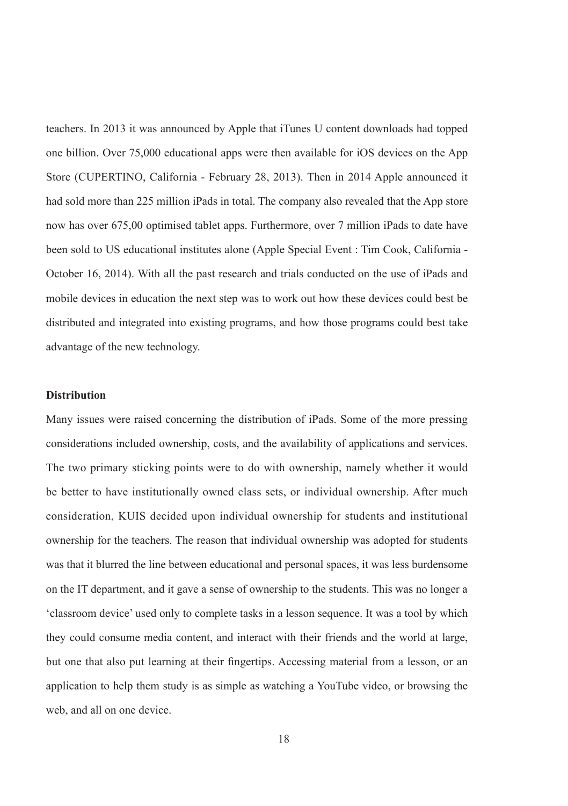teachers. In 2013 it was announced by Apple that iTunes U content downloads had topped one billion. Over 75,000 educational apps were then available for iOS devices on the App Store (CUPERTINO, California - February 28, 2013). Then in 2014 Apple announced it had sold more than 225 million iPads in total. The company also revealed that the App store now has over 675,00 optimised tablet apps. Furthermore, over 7 million iPads to date have been sold to US educational institutes alone (Apple Special Event : Tim Cook, California - October 16, 2014). With all the past research and trials conducted on the use of iPads and mobile devices in education the next step was to work out how these devices could best be distributed and integrated into existing programs, and how those programs could best take advantage of the new technology.

#### **Distribution**

Many issues were raised concerning the distribution of iPads. Some of the more pressing considerations included ownership, costs, and the availability of applications and services. The two primary sticking points were to do with ownership, namely whether it would be better to have institutionally owned class sets, or individual ownership. After much consideration, KUIS decided upon individual ownership for students and institutional ownership for the teachers. The reason that individual ownership was adopted for students was that it blurred the line between educational and personal spaces, it was less burdensome on the IT department, and it gave a sense of ownership to the students. This was no longer a 'classroom device' used only to complete tasks in a lesson sequence. It was a tool by which they could consume media content, and interact with their friends and the world at large, but one that also put learning at their fingertips. Accessing material from a lesson, or an application to help them study is as simple as watching a YouTube video, or browsing the web, and all on one device.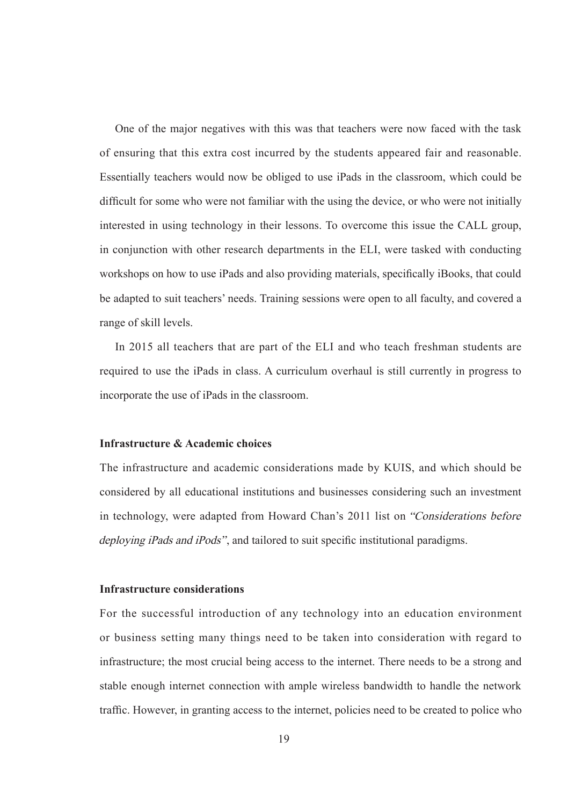One of the major negatives with this was that teachers were now faced with the task of ensuring that this extra cost incurred by the students appeared fair and reasonable. Essentially teachers would now be obliged to use iPads in the classroom, which could be difficult for some who were not familiar with the using the device, or who were not initially interested in using technology in their lessons. To overcome this issue the CALL group, in conjunction with other research departments in the ELI, were tasked with conducting workshops on how to use iPads and also providing materials, specifically iBooks, that could be adapted to suit teachers' needs. Training sessions were open to all faculty, and covered a range of skill levels.

In 2015 all teachers that are part of the ELI and who teach freshman students are required to use the iPads in class. A curriculum overhaul is still currently in progress to incorporate the use of iPads in the classroom.

### **Infrastructure & Academic choices**

The infrastructure and academic considerations made by KUIS, and which should be considered by all educational institutions and businesses considering such an investment in technology, were adapted from Howard Chan's 2011 list on "Considerations before deploying iPads and iPods", and tailored to suit specific institutional paradigms.

### **Infrastructure considerations**

For the successful introduction of any technology into an education environment or business setting many things need to be taken into consideration with regard to infrastructure; the most crucial being access to the internet. There needs to be a strong and stable enough internet connection with ample wireless bandwidth to handle the network traffic. However, in granting access to the internet, policies need to be created to police who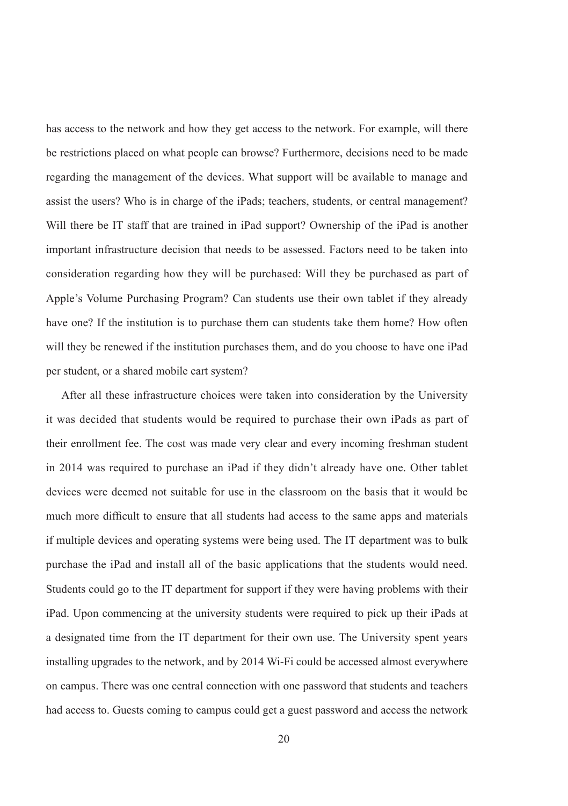has access to the network and how they get access to the network. For example, will there be restrictions placed on what people can browse? Furthermore, decisions need to be made regarding the management of the devices. What support will be available to manage and assist the users? Who is in charge of the iPads; teachers, students, or central management? Will there be IT staff that are trained in iPad support? Ownership of the iPad is another important infrastructure decision that needs to be assessed. Factors need to be taken into consideration regarding how they will be purchased: Will they be purchased as part of Apple's Volume Purchasing Program? Can students use their own tablet if they already have one? If the institution is to purchase them can students take them home? How often will they be renewed if the institution purchases them, and do you choose to have one iPad per student, or a shared mobile cart system?

After all these infrastructure choices were taken into consideration by the University it was decided that students would be required to purchase their own iPads as part of their enrollment fee. The cost was made very clear and every incoming freshman student in 2014 was required to purchase an iPad if they didn't already have one. Other tablet devices were deemed not suitable for use in the classroom on the basis that it would be much more difficult to ensure that all students had access to the same apps and materials if multiple devices and operating systems were being used. The IT department was to bulk purchase the iPad and install all of the basic applications that the students would need. Students could go to the IT department for support if they were having problems with their iPad. Upon commencing at the university students were required to pick up their iPads at a designated time from the IT department for their own use. The University spent years installing upgrades to the network, and by 2014 Wi-Fi could be accessed almost everywhere on campus. There was one central connection with one password that students and teachers had access to. Guests coming to campus could get a guest password and access the network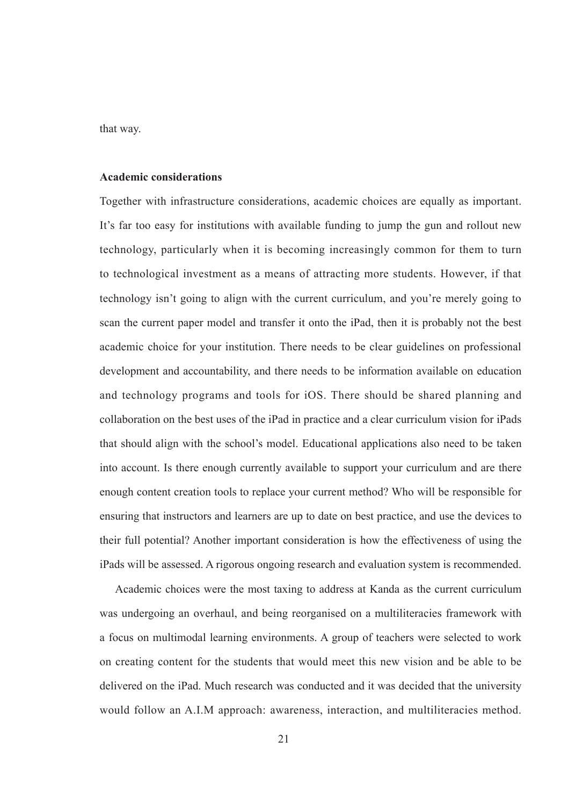that way.

#### **Academic considerations**

Together with infrastructure considerations, academic choices are equally as important. It's far too easy for institutions with available funding to jump the gun and rollout new technology, particularly when it is becoming increasingly common for them to turn to technological investment as a means of attracting more students. However, if that technology isn't going to align with the current curriculum, and you're merely going to scan the current paper model and transfer it onto the iPad, then it is probably not the best academic choice for your institution. There needs to be clear guidelines on professional development and accountability, and there needs to be information available on education and technology programs and tools for iOS. There should be shared planning and collaboration on the best uses of the iPad in practice and a clear curriculum vision for iPads that should align with the school's model. Educational applications also need to be taken into account. Is there enough currently available to support your curriculum and are there enough content creation tools to replace your current method? Who will be responsible for ensuring that instructors and learners are up to date on best practice, and use the devices to their full potential? Another important consideration is how the effectiveness of using the iPads will be assessed. A rigorous ongoing research and evaluation system is recommended.

Academic choices were the most taxing to address at Kanda as the current curriculum was undergoing an overhaul, and being reorganised on a multiliteracies framework with a focus on multimodal learning environments. A group of teachers were selected to work on creating content for the students that would meet this new vision and be able to be delivered on the iPad. Much research was conducted and it was decided that the university would follow an A.I.M approach: awareness, interaction, and multiliteracies method.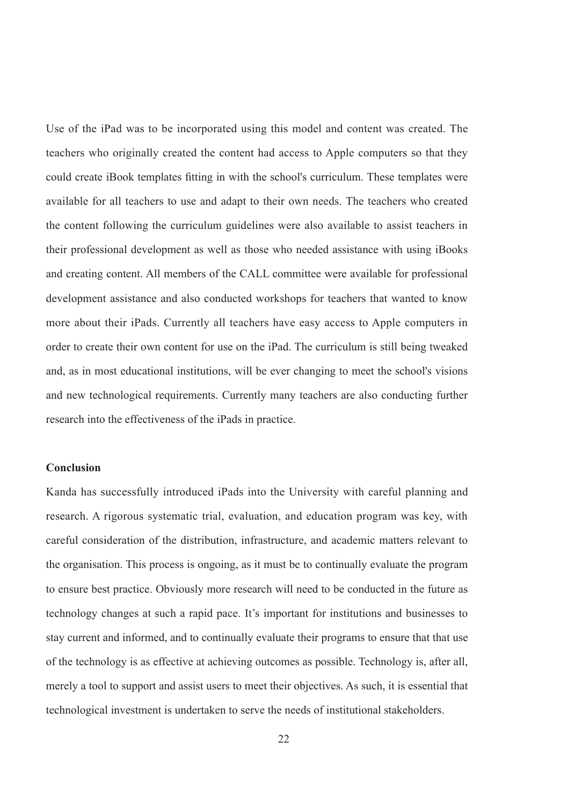Use of the iPad was to be incorporated using this model and content was created. The teachers who originally created the content had access to Apple computers so that they could create iBook templates fitting in with the school's curriculum. These templates were available for all teachers to use and adapt to their own needs. The teachers who created the content following the curriculum guidelines were also available to assist teachers in their professional development as well as those who needed assistance with using iBooks and creating content. All members of the CALL committee were available for professional development assistance and also conducted workshops for teachers that wanted to know more about their iPads. Currently all teachers have easy access to Apple computers in order to create their own content for use on the iPad. The curriculum is still being tweaked and, as in most educational institutions, will be ever changing to meet the school's visions and new technological requirements. Currently many teachers are also conducting further research into the effectiveness of the iPads in practice.

#### **Conclusion**

Kanda has successfully introduced iPads into the University with careful planning and research. A rigorous systematic trial, evaluation, and education program was key, with careful consideration of the distribution, infrastructure, and academic matters relevant to the organisation. This process is ongoing, as it must be to continually evaluate the program to ensure best practice. Obviously more research will need to be conducted in the future as technology changes at such a rapid pace. It's important for institutions and businesses to stay current and informed, and to continually evaluate their programs to ensure that that use of the technology is as effective at achieving outcomes as possible. Technology is, after all, merely a tool to support and assist users to meet their objectives. As such, it is essential that technological investment is undertaken to serve the needs of institutional stakeholders.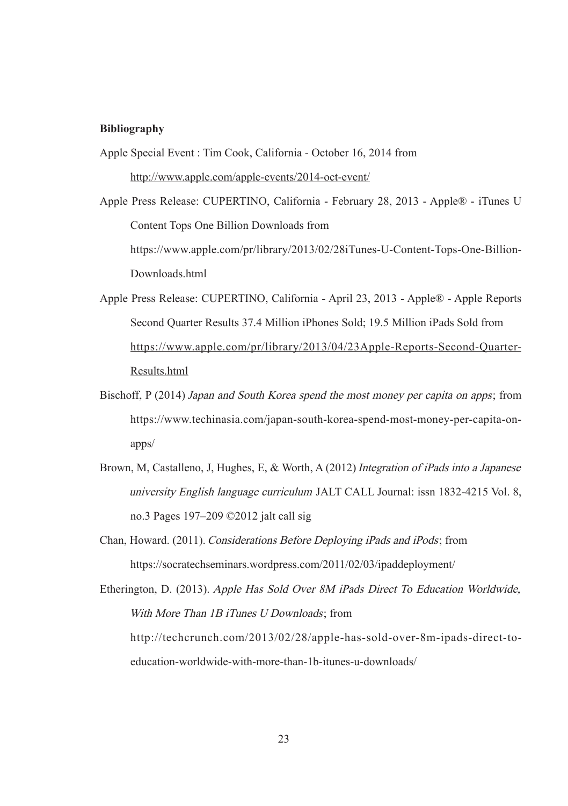### **Bibliography**

- Apple Special Event : Tim Cook, California October 16, 2014 from http://www.apple.com/apple-events/2014-oct-event/
- Apple Press Release: CUPERTINO, California February 28, 2013 Apple® iTunes U Content Tops One Billion Downloads from https://www.apple.com/pr/library/2013/02/28iTunes-U-Content-Tops-One-Billion-Downloads.html
- Apple Press Release: CUPERTINO, California April 23, 2013 Apple® Apple Reports Second Quarter Results 37.4 Million iPhones Sold; 19.5 Million iPads Sold from https://www.apple.com/pr/library/2013/04/23Apple-Reports-Second-Quarter-Results.html
- Bischoff, P (2014) Japan and South Korea spend the most money per capita on apps; from https://www.techinasia.com/japan-south-korea-spend-most-money-per-capita-onapps/
- Brown, M, Castalleno, J, Hughes, E, & Worth, A (2012) Integration of iPads into a Japanese university English language curriculum JALT CALL Journal: issn 1832-4215 Vol. 8, no.3 Pages 197–209 ©2012 jalt call sig
- Chan, Howard. (2011). Considerations Before Deploying iPads and iPods; from https://socratechseminars.wordpress.com/2011/02/03/ipaddeployment/

Etherington, D. (2013). Apple Has Sold Over 8M iPads Direct To Education Worldwide, With More Than 1B iTunes U Downloads: from http://techcrunch.com/2013/02/28/apple-has-sold-over-8m-ipads-direct-toeducation-worldwide-with-more-than-1b-itunes-u-downloads/